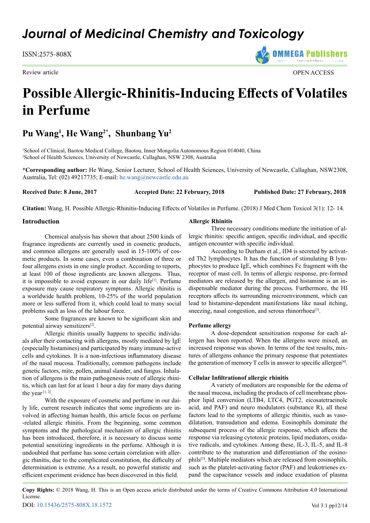## *Journal of Medicinal Chemistry and Toxicology*

ISSN:2575-808X

Review article **OPEN ACCESS** 

# **Possible Allergic-Rhinitis-Inducing Effects of Volatiles in Perfume**

### **Pu Wang1 , He Wang2\*, Shunbang Yu2**

<sup>1</sup>School of Clinical, Baotou Medical College, Baotou, Inner Mongolia Autonomous Region 014040, China 2 School of Health Sciences, University of Newcastle, Callaghan, NSW 2308, Australia

**\*Corresponding author:** He Wang, Senior Lecturer, School of Health Sciences, University of Newcastle, Callaghan, NSW2308, Australia, Tel: (02) 49217735; E-mail: [he.wang@newcastle.edu.au](mailto:he.wang%40newcastle.edu.au?subject=)

**Received Date: 8 June, 2017 Accepted Date: 22 February, 2018 Published Date: 27 February, 2018**

**Citation:** Wang, H. Possible Allergic-Rhinitis-Inducing Effects of Volatiles in Perfume. (2018) J Med Chem Toxicol 3(1): 12- 14.

#### **Introduction**

Chemical analysis has shown that about 2500 kinds of fragrance ingredients are currently used in cosmetic products, and common allergens are generally used in 15-100% of cosmetic products. In some cases, even a combination of three or four allergens exists in one single product. According to reports, at least 100 of those ingredients are known allergens. Thus, it is impossible to avoid exposure in our daily life<sup>[1]</sup>. Perfume exposure may cause respiratory symptoms. Allergic rhinitis is a worldwide health problem, 10-25% of the world population more or less suffered from it, which could lead to many social problems such as loss of the labour force.

Some fragrances are known to be significant skin and potential airway sensitizers[2].

Allergic rhinitis usually happens to specific individuals after their contacting with allergens, mostly mediated by IgE (especially histamines) and participated by many immune-active cells and cytokines. It is a non-infectious inflammatory disease of the nasal mucosa. Traditionally, common pathogens include genetic factors, mite, pollen, animal slander, and fungus. Inhalation of allergens is the main pathogenesis route of allergic rhinitis, which can last for at least 1 hour a day for many days during the year  $[1, 2]$ .

With the exposure of cosmetic and perfume in our daily life, current research indicates that some ingredients are involved in affecting human health, this article focus on perfume -related allergic rhinitis. From the beginning, some common symptoms and the pathological mechanism of allergic rhinitis has been introduced, therefore, it is necessary to discuss some potential sensitizing ingredients in the perfume. Although it is undoubted that perfume has some certain correlation with allergic rhinitis, due to the complicated constitution, the difficulty of determination is extreme. As a result, no powerful statistic and efficient experiment evidence has been discovered in this field.

#### **Allergic Rhinitis**

Three necessary conditions mediate the initiation of allergic rhinitis: specific antigen, specific individual, and specific antigen encounter with specific individual.

According to Durham et al., ID4 is secreted by activated Th2 lymphocytes. It has the function of stimulating B lymphocytes to produce IgE, which combines Fc fragment with the receptor of mast cell. In terms of allergic response, pre-formed mediators are released by the allergen, and histamine is an indispensable mediator during the process. Furthermore, the HI receptors affects its surrounding microenvironment, which can lead to histamine-dependent manifestations like nasal itching, sneezing, nasal congestion, and serous rhinorrhoea<sup>[3]</sup>.

#### **Perfume allergy**

A dose-dependent sensitization response for each allergen has been reported. When the allergens were mixed, an increased response was shown. In terms of the test results, mixtures of allergens enhance the primary response that potentiates the generation of memory T cells in answer to specific allergen<sup>[4]</sup>.

#### **Cellular Infiltrationof allergic rhinitis**

A variety of mediators are responsible for the edema of the nasal mucosa, including the products of cell membrane phosphor lipid conversion (LTB4, LTC4, PGT2, eicosatetraeinolc acid, and PAF) and neuro modulators (substance R), all these factors lead to the symptoms of allergic rhinitis, such as vasodilatation, transudation and edema. Eosinophils dominate the subsequent process of the allergic response, which affects the response via releasing cytotoxic proteins, lipid mediators, oxidative radicals, and cytokines. Among these, IL-3, IL-5, and IL-8 contribute to the maturation and differentiation of the eosinophils[3]. Multiple mediators which are released from eosinophils, such as the platelet-activating factor (PAF) and leukotrienes expand the capacitance vessels and induce exudation of plasma

**Copy Rights:** © 2018 Wang, H. This is an Open access article distributed under the terms of Creative Commons Attribution 4.0 International License.

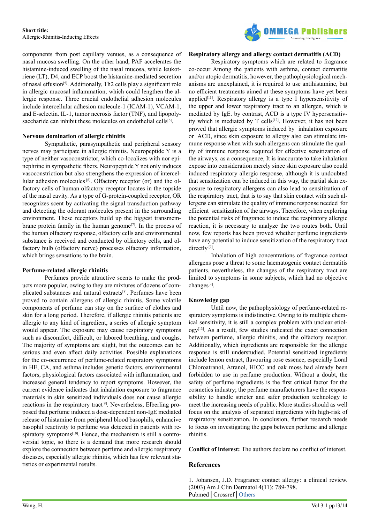

components from post capillary venues, as a consequence of nasal mucosa swelling. On the other hand, PAF accelerates the histamine-induced swelling of the nasal mucosa, while leukotriene (LT), D4, and ECP boost the histamine-mediated secretion of nasal effusion<sup>[5]</sup>. Additionally, Th2 cells play a significant role in allergic mucosal inflammation, which could lengthen the allergic response. Three crucial endothelial adhesion molecules include intercellular adhesion molecule-1 (ICAM-1), VCAM-1, and E-selectin. IL-1, tumor necrosis factor (TNF), and lipopolysaccharide can inhibit these molecules on endothelial cells<sup>[6]</sup>.

#### **Nervous domination of allergic rhinitis**

Sympathetic, parasympathetic and peripheral sensory nerves may participate in allergic rhinitis. Neuropeptide Y is a type of neither vasoconstrictor, which co-localizes with nor epinephrine in sympathetic fibers. Neuropeptide Y not only induces vasoconstriction but also strengthens the expression of intercellular adhesion molecules [6]. Olfactory receptor (or) and the olfactory cells of human olfactory receptor locates in the topside of the nasal cavity. As a type of G-protein-coupled receptor, OR recognizes scent by activating the signal transduction pathway and detecting the odorant molecules present in the surrounding environment. These receptors build up the biggest transmembrane protein family in the human genome<sup>[7]</sup>. In the process of the human olfactory response, olfactory cells and environmental substance is received and conducted by olfactory cells, and olfactory bulb (olfactory nerve) processes olfactory information, which brings sensations to the brain.

#### **Perfume-related allergic rhinitis**

Perfumes provide attractive scents to make the products more popular, owing to they are mixtures of dozens of complicated substances and natural extracts[8]. Perfumes have been proved to contain allergens of allergic rhinitis. Some volatile components of perfume can stay on the surface of clothes and skin for a long period. Therefore, if allergic rhinitis patients are allergic to any kind of ingredient, a series of allergic symptom would appear. The exposure may cause respiratory symptoms such as discomfort, difficult, or labored breathing, and coughs. The majority of symptoms are slight, but the outcomes can be serious and even affect daily activities. Possible explanations for the co-occurrence of perfume-related respiratory symptoms in HE, CA, and asthma includes genetic factors, environmental factors, physiological factors associated with inflammation, and increased general tendency to report symptoms. However, the current evidence indicates that inhalation exposure to fragrance materials in skin sensitized individuals does not cause allergic reactions in the respiratory tract<sup>[9]</sup>. Nevertheless, Elberling proposed that perfume induced a dose-dependent non-IgE mediated release of histamine from peripheral blood basophils, enhancive basophil reactivity to perfume was detected in patients with respiratory symptoms $[10]$ . Hence, the mechanism is still a controversial topic, so there is a demand that more research should explore the connection between perfume and allergic respiratory diseases, especially allergic rhinitis, which has few relevant statistics or experimental results.

#### **Respiratory allergy and allergy contact dermatitis (ACD)**

Respiratory symptoms which are related to fragrance co-occur Among the patients with asthma, contact dermatitis and/or atopic dermatitis, however, the pathophysiological mechanisms are unexplained, it is required to use antihistamine, but no efficient treatments aimed at these symptoms have yet been applied $[11]$ . Respiratory allergy is a type I hypersensitivity of the upper and lower respiratory tract to an allergen, which is mediated by IgE. by contrast, ACD is a type IV hypersensitivity which is mediated by T cells<sup>[12]</sup>. However, it has not been proved that allergic symptoms induced by inhalation exposure or ACD, since skin exposure to allergy also can stimulate immune response when with such allergens can stimulate the quality of immune response required for effective sensitization of the airways, as a consequence, It is inaccurate to take inhalation expose into consideration merely since skin exposure also could induced respiratory allergic response, although it is undoubted that sensitization can be induced in this way, the partial skin exposure to respiratory allergens can also lead to sensitization of the respiratory tract, that is to say that skin contact with such allergens can stimulate the quality of immune response needed for efficient sensitization of the airways. Therefore, when exploring the potential risks of fragrance to induce the respiratory allergic reaction, it is necessary to analyze the two routes both. Until now, few reports has been proved whether perfume ingredients have any potential to induce sensitization of the respiratory tract directly<sup>[9]</sup>.

Inhalation of high concentrations of fragrance contact allergens pose a threat to some haematogenic contact dermatitis patients, nevertheless, the changes of the respiratory tract are limited to symptoms in some subjects, which had no objective changes<sup>[2]</sup>.

#### **Knowledge gap**

Until now, the pathophysiology of perfume-related respiratory symptoms is indistinctive. Owing to its multiple chemical sensitivity, it is still a complex problem with unclear etiology[13]. As a result, few studies indicated the exact connection between perfume, allergic rhinitis, and the olfactory receptor. Additionally, which ingredients are responsible for the allergic response is still understudied. Potential sensitized ingredients include lemon extract, flavouring rose essence, especially Loral Chloroatranol, Atranol, HICC and oak moss had already been forbidden to use in perfume production. Without a doubt, the safety of perfume ingredients is the first critical factor for the cosmetics industry; the perfume manufacturers have the responsibility to handle stricter and safer production technology to meet the increasing needs of public. More studies should as well focus on the analysis of separated ingredients with high-risk of respiratory sensitization. In conclusion, further research needs to focus on investigating the gaps between perfume and allergic rhinitis.

**Conflict of interest:** The authors declare no conflict of interest.

#### **References**

1. Johansen, J.D. Fragrance contact allergy: a clinical review. (2003) Am J Clin Dermatol 4(11): 789-798. Pubmed│Crossref[│Others](https://link.springer.com/article/10.2165/00128071-200304110-00006)